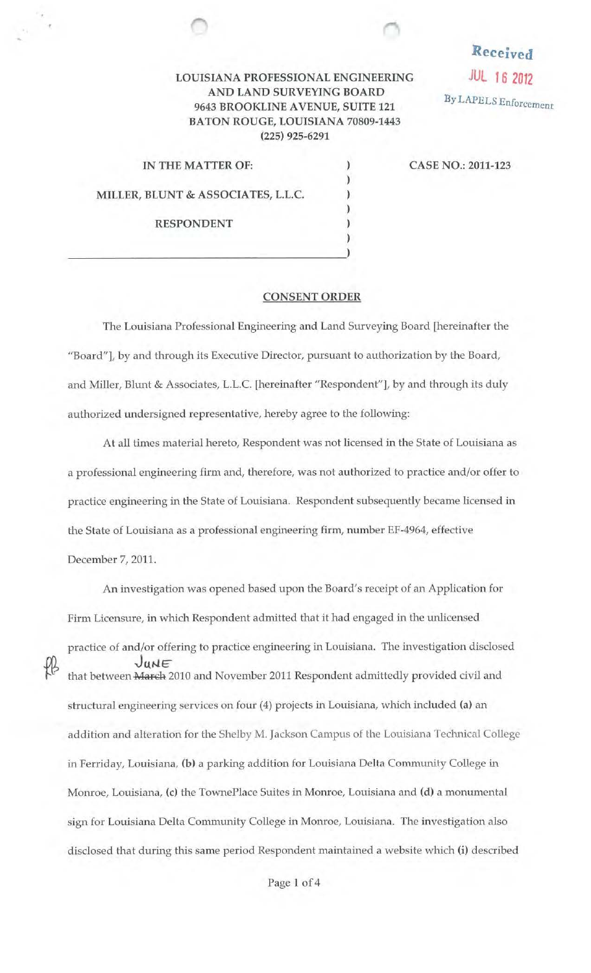## LOUISIANA PROFESSIONAL ENGINEERING AND LAND SURVEYING BOARD 9643 BROOKLINE A VENUE, SUITE 121 BATON ROUGE, LOUISIANA 70809-1443 (225) 925-6291

IN THE MATTER OF: MILLER, BLUNT & ASSOCIATES, L.L.C. RESPONDENT ) and the contract of  $\overline{a}$  and  $\overline{b}$  CASE NO.: 2011-123

Received

JUL 16 <sup>2012</sup>

By LAPELS Enforcement

## CONSENT ORDER

)

) ) )

The Louisiana Professional Engineering and Land Surveying Board [hereinafter the "Board"], by and through its Executive Director, pursuant to authorization by the Board, and Miller, Blunt & Associates, L.L.C. [hereinafter "Respondent"], by and through its duly authorized undersigned representative, hereby agree to the following:

At all times material hereto, Respondent was not licensed in the State of Louisiana as a professional engineering firm and, therefore, was not authorized to practice and/or offer to practice engineering in the State of Louisiana. Respondent subsequently became licensed in the State of Louisiana as a professional engineering firm, number EF-4964, effective December 7, 2011.

An investigation was opened based upon the Board's receipt of an Application for Firm Licensure, in which Respondent admitted that it had engaged in the unlicensed practice of and/or offering to practice engineering in Louisiana. The investigation disclosed JUNE that between March 2010 and November 2011 Respondent admittedly provided civil and structural engineering services on four (4) projects in Louisiana, which included (a) an addition and alteration for the Shelby M. Jackson Campus of the Louisiana Technical College in Ferriday, Louisiana, (b) a parking addition for Louisiana Delta Community College in Momoe, Louisiana, (c) the TownePlace Suites in Monroe, Louisiana and (d) a monumental sign for Louisiana Delta Community College in Monroe, Louisiana. The investigation also disclosed that during this same period Respondent maintained a website which (i) described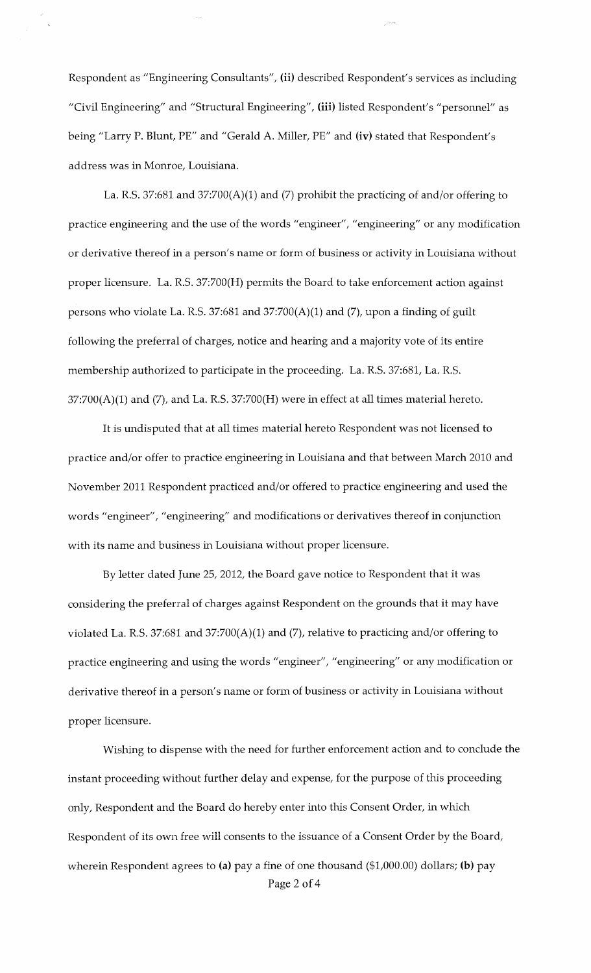Respondent as "Engineering Consultants", **(ii)** described Respondent's services as including "Civil Engineering" and "Structural Engineering", **(iii)** listed Respondent's "persmmel" as being "Larry P. Blunt, PE" and "Gerald A. Miller, PE" and **(iv)** stated that Respondent's address was in Monroe, Louisiana.

La. R.S. 37:681 and 37:700(A)(1) and (7) prohibit the practicing of and/or offering to practice engineering and the use of the words "engineer", "engineering" or any modification or derivative thereof in a person's name or form of business or activity in Louisiana without proper licensure. La. R.S. 37:700(H) permits the Board to take enforcement action against persons who violate La. R.S. 37:681 and 37:700(A)(1) and (7), upon a finding of guilt following the preferral of charges, notice and hearing and a majority vote of its entire membership authorized to participate in the proceeding. La. R.S. 37:681, La. R.S.  $37:700(A)(1)$  and  $(7)$ , and La. R.S.  $37:700(H)$  were in effect at all times material hereto.

It is undisputed that at all times material hereto Respondent was not licensed to practice and/or offer to practice engineering in Louisiana and that between March 2010 and November 2011 Respondent practiced and/or offered to practice engineering and used the words "engineer", "engineering" and modifications or derivatives thereof in conjunction with its name and business in Louisiana without proper licensure.

By letter dated June 25, 2012, the Board gave notice to Respondent that it was considering the preferral of charges against Respondent on the grounds that it may have violated La. R.S. 37:681 and 37:700(A)(1) and (7), relative to practicing and/or offering to practice engineering and using the words "engineer", "engineering" or any modification or derivative thereof in a person's name or form of business or activity in Louisiana without proper licensure.

Wishing to dispense with the need for further enforcement action and to conclude the instant proceeding without further delay and expense, for the purpose of this proceeding only, Respondent and the Board do hereby enter into this Consent Order, in which Respondent of its own free will consents to the issuance of a Consent Order by the Board, wherein Respondent agrees to **(a)** pay a fine of one thousand (\$1,000.00) dollars; **(b)** pay Page 2 of 4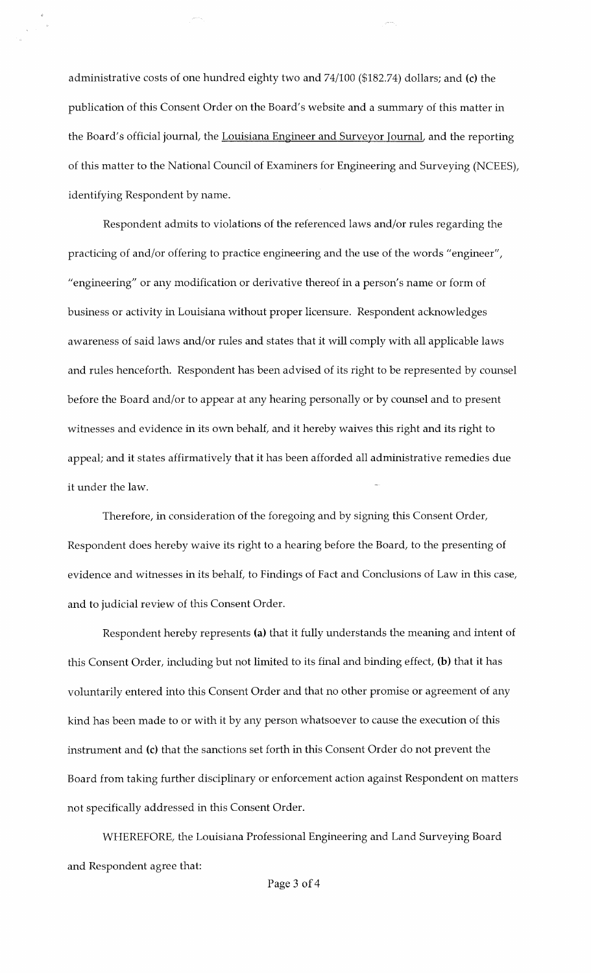administrative costs of one hundred eighty two and 74/100 (\$182.74) dollars; and (c) the publication of this Consent Order on the Board's website and a summary of this matter in the Board's official journal, the Louisiana Engineer and Surveyor Journal, and the reporting of this matter to the National Council of Examiners for Engineering and Surveying (NCEES), identifying Respondent by name.

Respondent admits to violations of the referenced laws and/or rules regarding the practicing of and/or offering to practice engineering and the use of the words "engineer", "engineering" or any modification or derivative thereof in a person's name or form of business or activity in Louisiana without proper licensure. Respondent acknowledges awareness of said laws and/or rules and states that it will comply with all applicable laws and rules henceforth. Respondent has been advised of its right to be represented by counsel before the Board and/or to appear at any hearing personally or by counsel and to present witnesses and evidence in its own behalf, and it hereby waives this right and its right to appeal; and it states affirmatively that it has been afforded all administrative remedies due it under the law.

Therefore, in consideration of the foregoing and by signing this Consent Order, Respondent does hereby waive its right to a hearing before the Board, to the presenting of evidence and witnesses in its behalf, to Findings of Fact and Conclusions of Law in this case, and to judicial review of this Consent Order.

Respondent hereby represents (a) that it fully understands the meaning and intent of this Consent Order, including but not limited to its final and binding effect, (b) that it has voluntarily entered into this Consent Order and that no other promise or agreement of any kind has been made to or with it by any person whatsoever to cause the execution of this instrument and (c) that the sanctions set forth in this Consent Order do not prevent the Board from taking further disciplinary or enforcement action against Respondent on matters not specifically addressed in this Consent Order.

WHEREFORE, the Louisiana Professional Engineering and Land Surveying Board and Respondent agree that: